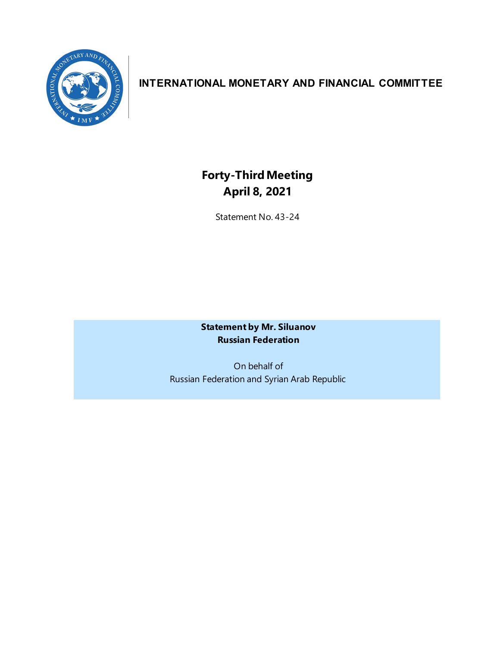

## **INTERNATIONAL MONETARY AND FINANCIAL COMMITTEE**

## **Forty-ThirdMeeting April 8, 2021**

Statement No. 43-24

**Statement by Mr. Siluanov Russian Federation** 

On behalf of Russian Federation and Syrian Arab Republic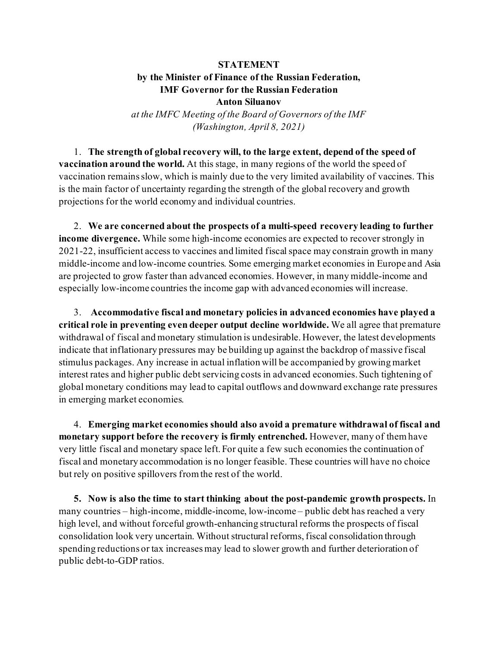## **STATEMENT**

## **by the Minister of Finance of the Russian Federation, IMF Governor for the Russian Federation Anton Siluanov**

*at the IMFC Meeting of the Board of Governors of the IMF (Washington, April 8, 2021)*

1. **The strength of global recovery will, to the large extent, depend of the speed of vaccination around the world.** At this stage, in many regions of the world the speed of vaccination remains slow, which is mainly due to the very limited availability of vaccines. This is the main factor of uncertainty regarding the strength of the global recovery and growth projections for the world economy and individual countries.

2. **We are concerned about the prospects of a multi-speed recovery leading to further income divergence.** While some high-income economies are expected to recover strongly in 2021-22, insufficient access to vaccines and limited fiscal space may constrain growth in many middle-income and low-income countries. Some emerging market economies in Europe and Asia are projected to grow faster than advanced economies. However, in many middle-income and especially low-income countries the income gap with advanced economies will increase.

3. **Accommodative fiscal and monetary policies in advanced economies have played a critical role in preventing even deeper output decline worldwide.** We all agree that premature withdrawal of fiscal and monetary stimulation is undesirable. However, the latest developments indicate that inflationary pressures may be building up against the backdrop of massive fiscal stimulus packages. Any increase in actual inflation will be accompanied by growing market interest rates and higher public debt servicing costs in advanced economies. Such tightening of global monetary conditions may lead to capital outflows and downward exchange rate pressures in emerging market economies.

4. **Emerging market economies should also avoid a premature withdrawal of fiscal and monetary support before the recovery is firmly entrenched.** However, many of them have very little fiscal and monetary space left. For quite a few such economies the continuation of fiscal and monetary accommodation is no longer feasible. These countries will have no choice but rely on positive spillovers from the rest of the world.

**5. Now is also the time to start thinking about the post-pandemic growth prospects.** In many countries – high-income, middle-income, low-income – public debt has reached a very high level, and without forceful growth-enhancing structural reforms the prospects of fiscal consolidation look very uncertain. Withoutstructural reforms, fiscal consolidation through spending reductions or tax increases may lead to slower growth and further deterioration of public debt-to-GDP ratios.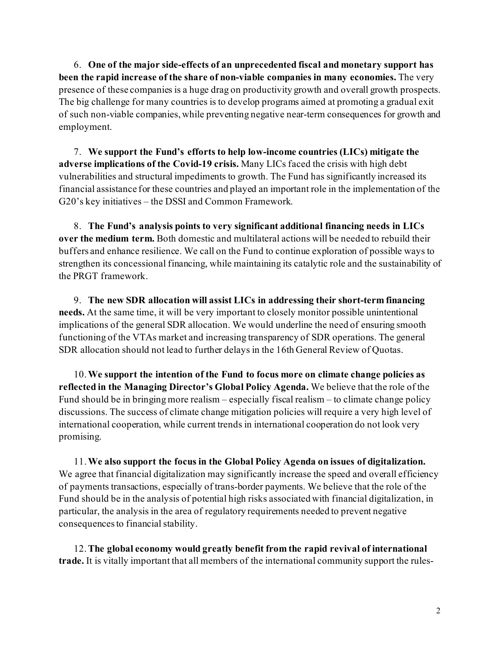6. **One of the major side-effects of an unprecedented fiscal and monetary support has been the rapid increase of the share of non-viable companies in many economies.** The very presence of these companies is a huge drag on productivity growth and overall growth prospects. The big challenge for many countries is to develop programs aimed at promoting a gradual exit of such non-viable companies, while preventing negative near-term consequences for growth and employment.

7. **We support the Fund's efforts to help low-income countries (LICs) mitigate the adverse implications of the Covid-19 crisis.** Many LICs faced the crisis with high debt vulnerabilities and structural impediments to growth. The Fund has significantly increased its financial assistance for these countries and played an important role in the implementation of the G20's key initiatives – the DSSI and Common Framework.

8. **The Fund's analysis points to very significant additional financing needs in LICs over the medium term.** Both domestic and multilateral actions will be needed to rebuild their buffers and enhance resilience. We call on the Fund to continue exploration of possible ways to strengthen its concessional financing, while maintaining its catalytic role and the sustainability of the PRGT framework.

9. **The new SDR allocation will assist LICs in addressing their short-term financing needs.** At the same time, it will be very important to closely monitor possible unintentional implications of the general SDR allocation. We would underline the need of ensuring smooth functioning of the VTAs market and increasing transparency of SDR operations. The general SDR allocation should not lead to further delays in the 16th General Review of Quotas.

10.**We support the intention of the Fund to focus more on climate change policies as reflected in the Managing Director's Global Policy Agenda.** We believe that the role of the Fund should be in bringing more realism – especially fiscal realism – to climate change policy discussions. The success of climate change mitigation policies will require a very high level of international cooperation, while current trends in international cooperation do not look very promising.

11.**We also support the focus in the Global Policy Agenda on issues of digitalization.**  We agree that financial digitalization may significantly increase the speed and overall efficiency of payments transactions, especially of trans-border payments. We believe that the role of the Fund should be in the analysis of potential high risks associated with financial digitalization, in particular, the analysis in the area of regulatory requirements needed to prevent negative consequences to financial stability.

12.**The global economy would greatly benefit from the rapid revival of international trade.** It is vitally important that all members of the international community support the rules-